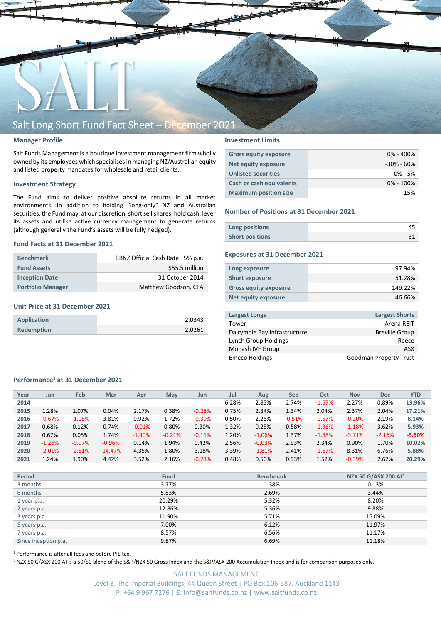

## **Manager Profile**

Salt Funds Management is a boutique investment management firm wholly owned by its employees which specialisesin managing NZ/Australian equity and listed property mandates for wholesale and retail clients.

## **Investment Strategy**

The Fund aims to deliver positive absolute returns in all market environments. In addition to holding "long-only" NZ and Australian securities, the Fund may, at our discretion, short sell shares, hold cash, lever its assets and utilise active currency management to generate returns (although generally the Fund's assets will be fully hedged).

## **Fund Facts at 31 December 2021**

| <b>Benchmark</b>         | RBNZ Official Cash Rate +5% p.a. |
|--------------------------|----------------------------------|
| <b>Fund Assets</b>       | \$55.5 million                   |
| <b>Inception Date</b>    | 31 October 2014                  |
| <b>Portfolio Manager</b> | Matthew Goodson, CFA             |

## **Unit Price at 31 December 2021**

| <b>Application</b> | 2.0343 |
|--------------------|--------|
| <b>Redemption</b>  | 2.0261 |

## **Investment Limits**

| <b>Gross equity exposure</b> | $0\% - 400\%$  |
|------------------------------|----------------|
| Net equity exposure          | $-30\% - 60\%$ |
| <b>Unlisted securities</b>   | $0\% - 5\%$    |
| Cash or cash equivalents     | $0\% - 100\%$  |
| <b>Maximum position size</b> | 15%            |

## **Number of Positions at 31 December 2021**

| Long positions         |  |
|------------------------|--|
| <b>Short positions</b> |  |

## **Exposures at 31 December 2021**

| Long exposure                | 97.94%  |
|------------------------------|---------|
| <b>Short exposure</b>        | 51.28%  |
| <b>Gross equity exposure</b> | 149.22% |
| Net equity exposure          | 46.66%  |
|                              |         |

| <b>Largest Longs</b>         | <b>Largest Shorts</b>         |
|------------------------------|-------------------------------|
| Tower                        | Arena REIT                    |
| Dalrymple Bay Infrastructure | <b>Breville Group</b>         |
| Lynch Group Holdings         | Reece                         |
| Monash IVF Group             | ASX                           |
| <b>Emeco Holdings</b>        | <b>Goodman Property Trust</b> |
|                              |                               |

## **Performance<sup>1</sup> at 31 December 2021**

| Year | Jan      | Feb      | Mar       | Apr      | May      | Jun      | Jul   | Aug      | Sep      | Oct      | <b>Nov</b> | <b>Dec</b> | <b>YTD</b> |
|------|----------|----------|-----------|----------|----------|----------|-------|----------|----------|----------|------------|------------|------------|
| 2014 |          |          |           |          |          |          | 6.28% | 2.85%    | 2.74%    | $-1.67%$ | 2.27%      | 0.89%      | 13.96%     |
| 2015 | 1.28%    | 1.07%    | 0.04%     | 2.17%    | 0.38%    | $-0.28%$ | 0.75% | 2.84%    | 1.34%    | 2.04%    | 2.37%      | 2.04%      | 17.21%     |
| 2016 | $-0.67%$ | $-1.08%$ | 3.81%     | 0.92%    | 1.72%    | $-0.39%$ | 0.50% | 2.26%    | $-0.51%$ | $-0.57%$ | $-0.20%$   | 2.19%      | 8.14%      |
| 2017 | 0.68%    | 0.12%    | 0.74%     | $-0.01%$ | 0.80%    | 0.30%    | 1.32% | 0.25%    | 0.58%    | $-1.36%$ | $-1.18%$   | 3.62%      | 5.93%      |
| 2018 | 0.67%    | 0.05%    | 1.74%     | $-1.40%$ | $-0.21%$ | $-0.11%$ | 1.20% | $-1.06%$ | 1.37%    | $-1.88%$ | $-3.71%$   | $-2.16%$   | $-5.50%$   |
| 2019 | $-1.26%$ | $-0.97%$ | $-0.96%$  | 0.14%    | 1.94%    | 0.42%    | 2.56% | $-0.03%$ | 2.93%    | 2.34%    | 0.90%      | 1.70%      | 10.02%     |
| 2020 | $-2.01%$ | $-2.51%$ | $-14.47%$ | 4.35%    | 1.80%    | 3.18%    | 3.39% | $-1.81%$ | 2.41%    | $-1.67%$ | 8.31%      | 6.76%      | 5.88%      |
| 2021 | 1.24%    | 1.90%    | 4.42%     | 3.52%    | 2.16%    | $-0.23%$ | 0.48% | 0.56%    | 0.93%    | 1.52%    | $-0.39%$   | 2.62%      | 20.29%     |

| <b>Period</b>        | <b>Fund</b> | <b>Benchmark</b> | NZX 50 G/ASX 200 Al <sup>2</sup> |
|----------------------|-------------|------------------|----------------------------------|
| 3 months             | 3.77%       | 1.38%            | 0.13%                            |
| 6 months             | 5.83%       | 2.69%            | 3.44%                            |
| 1 year p.a.          | 20.29%      | 5.32%            | 8.20%                            |
| 2 years p.a.         | 12.86%      | 5.36%            | 9.88%                            |
| 3 years p.a.         | 11.90%      | 5.71%            | 15.09%                           |
| 5 years p.a.         | 7.00%       | 6.12%            | 11.97%                           |
| 7 years p.a.         | 8.57%       | 6.56%            | 11.17%                           |
| Since inception p.a. | 9.87%       | 6.69%            | 11.18%                           |

<sup>1</sup> Performance is after all fees and before PIE tax.

<sup>2</sup> NZX 50 G/ASX 200 AI is a 50/50 blend of the S&P/NZX 50 Gross Index and the S&P/ASX 200 Accumulation Index and is for comparison purposes only.

SALT FUNDS MANAGEMENT Level 3, The Imperial Buildings, 44 Queen Street | PO Box 106-587, Auckland 1143 P: +64 9 967 7276 | E: info@saltfunds.co.nz | www.saltfunds.co.nz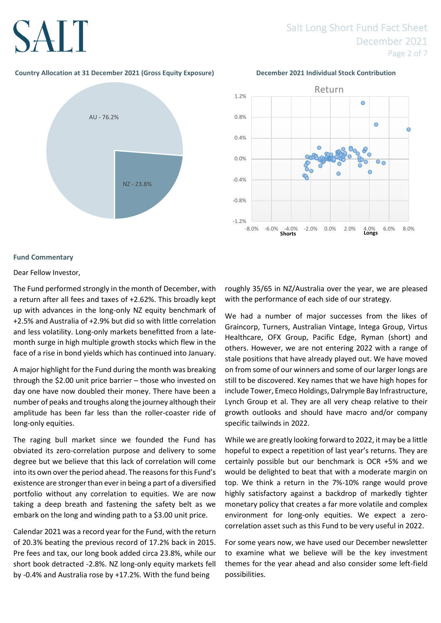## Salt Long Short Fund Fact Sheet December 2021 Page 2 of 7

## **Country Allocation at 31 December 2021 (Gross Equity Exposure) December 2021 Individual Stock Contribution**





## **Fund Commentary**

Dear Fellow Investor,

The Fund performed strongly in the month of December, with a return after all fees and taxes of +2.62%. This broadly kept up with advances in the long-only NZ equity benchmark of +2.5% and Australia of +2.9% but did so with little correlation and less volatility. Long-only markets benefitted from a latemonth surge in high multiple growth stocks which flew in the face of a rise in bond yields which has continued into January.

A major highlight for the Fund during the month was breaking through the \$2.00 unit price barrier – those who invested on day one have now doubled their money. There have been a number of peaks and troughs along the journey although their amplitude has been far less than the roller-coaster ride of long-only equities.

The raging bull market since we founded the Fund has obviated its zero-correlation purpose and delivery to some degree but we believe that this lack of correlation will come into its own over the period ahead. The reasons for this Fund's existence are stronger than ever in being a part of a diversified portfolio without any correlation to equities. We are now taking a deep breath and fastening the safety belt as we embark on the long and winding path to a \$3.00 unit price.

Calendar 2021 was a record year for the Fund, with the return of 20.3% beating the previous record of 17.2% back in 2015. Pre fees and tax, our long book added circa 23.8%, while our short book detracted -2.8%. NZ long-only equity markets fell by -0.4% and Australia rose by +17.2%. With the fund being

roughly 35/65 in NZ/Australia over the year, we are pleased with the performance of each side of our strategy.

We had a number of major successes from the likes of Graincorp, Turners, Australian Vintage, Intega Group, Virtus Healthcare, OFX Group, Pacific Edge, Ryman (short) and others. However, we are not entering 2022 with a range of stale positions that have already played out. We have moved on from some of our winners and some of our larger longs are still to be discovered. Key names that we have high hopes for include Tower, Emeco Holdings, Dalrymple Bay Infrastructure, Lynch Group et al. They are all very cheap relative to their growth outlooks and should have macro and/or company specific tailwinds in 2022.

While we are greatly looking forward to 2022, it may be a little hopeful to expect a repetition of last year's returns. They are certainly possible but our benchmark is OCR +5% and we would be delighted to beat that with a moderate margin on top. We think a return in the 7%-10% range would prove highly satisfactory against a backdrop of markedly tighter monetary policy that creates a far more volatile and complex environment for long-only equities. We expect a zerocorrelation asset such as this Fund to be very useful in 2022.

For some years now, we have used our December newsletter to examine what we believe will be the key investment themes for the year ahead and also consider some left-field possibilities.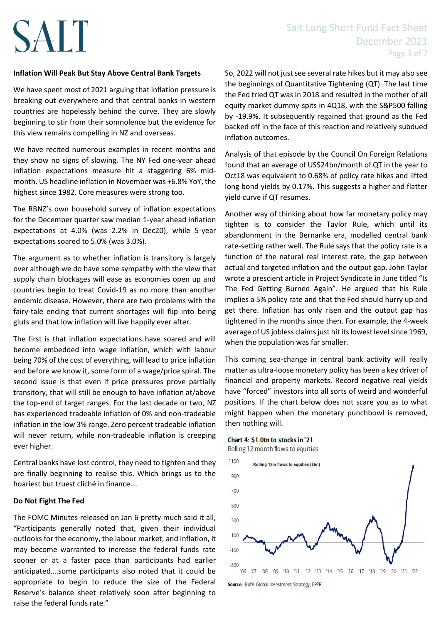## **Inflation Will Peak But Stay Above Central Bank Targets**

We have spent most of 2021 arguing that inflation pressure is breaking out everywhere and that central banks in western countries are hopelessly behind the curve. They are slowly beginning to stir from their somnolence but the evidence for this view remains compelling in NZ and overseas.

We have recited numerous examples in recent months and they show no signs of slowing. The NY Fed one-year ahead inflation expectations measure hit a staggering 6% midmonth. US headline inflation in November was +6.8% YoY, the highest since 1982. Core measures were strong too.

The RBNZ's own household survey of inflation expectations for the December quarter saw median 1-year ahead inflation expectations at 4.0% (was 2.2% in Dec20), while 5-year expectations soared to 5.0% (was 3.0%).

The argument as to whether inflation is transitory is largely over although we do have some sympathy with the view that supply chain blockages will ease as economies open up and countries begin to treat Covid-19 as no more than another endemic disease. However, there are two problems with the fairy-tale ending that current shortages will flip into being gluts and that low inflation will live happily ever after.

The first is that inflation expectations have soared and will become embedded into wage inflation, which with labour being 70% of the cost of everything, will lead to price inflation and before we know it, some form of a wage/price spiral. The second issue is that even if price pressures prove partially transitory, that will still be enough to have inflation at/above the top-end of target ranges. For the last decade or two, NZ has experienced tradeable inflation of 0% and non-tradeable inflation in the low 3% range. Zero percent tradeable inflation will never return, while non-tradeable inflation is creeping ever higher.

Central banks have lost control, they need to tighten and they are finally beginning to realise this. Which brings us to the hoariest but truest cliché in finance….

## **Do Not Fight The Fed**

The FOMC Minutes released on Jan 6 pretty much said it all, "Participants generally noted that, given their individual outlooks for the economy, the labour market, and inflation, it may become warranted to increase the federal funds rate sooner or at a faster pace than participants had earlier anticipated….some participants also noted that it could be appropriate to begin to reduce the size of the Federal Reserve's balance sheet relatively soon after beginning to raise the federal funds rate."

So, 2022 will not just see several rate hikes but it may also see the beginnings of Quantitative Tightening (QT). The last time the Fed tried QT was in 2018 and resulted in the mother of all equity market dummy-spits in 4Q18, with the S&P500 falling by -19.9%. It subsequently regained that ground as the Fed backed off in the face of this reaction and relatively subdued inflation outcomes.

Analysis of that episode by the Council On Foreign Relations found that an average of US\$24bn/month of QT in the year to Oct18 was equivalent to 0.68% of policy rate hikes and lifted long bond yields by 0.17%. This suggests a higher and flatter yield curve if QT resumes.

Another way of thinking about how far monetary policy may tighten is to consider the Taylor Rule, which until its abandonment in the Bernanke era, modelled central bank rate-setting rather well. The Rule says that the policy rate is a function of the natural real interest rate, the gap between actual and targeted inflation and the output gap. John Taylor wrote a prescient article in Project Syndicate in June titled "Is The Fed Getting Burned Again". He argued that his Rule implies a 5% policy rate and that the Fed should hurry up and get there. Inflation has only risen and the output gap has tightened in the months since then. For example, the 4-week average of US jobless claims just hit its lowest level since 1969, when the population was far smaller.

This coming sea-change in central bank activity will really matter as ultra-loose monetary policy has been a key driver of financial and property markets. Record negative real yields have "forced" investors into all sorts of weird and wonderful positions. If the chart below does not scare you as to what might happen when the monetary punchbowl is removed, then nothing will.

## Chart 4: \$1.0tn to stocks in '21

Rolling 12 month flows to equities



Source: BofA Global Investment Strategy, EPFR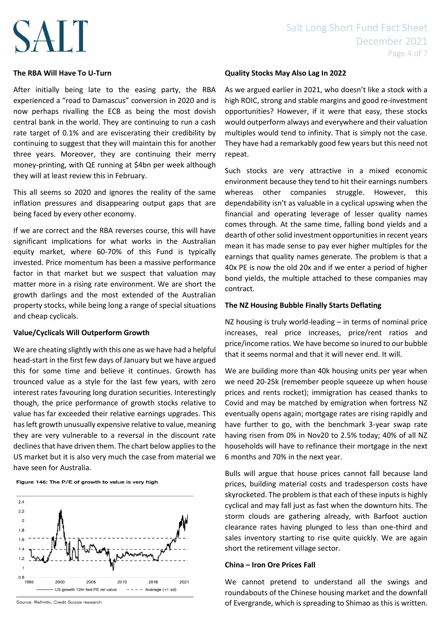## **The RBA Will Have To U-Turn**

After initially being late to the easing party, the RBA experienced a "road to Damascus" conversion in 2020 and is now perhaps rivalling the ECB as being the most dovish central bank in the world. They are continuing to run a cash rate target of 0.1% and are eviscerating their credibility by continuing to suggest that they will maintain this for another three years. Moreover, they are continuing their merry money-printing, with QE running at \$4bn per week although they will at least review this in February.

This all seems so 2020 and ignores the reality of the same inflation pressures and disappearing output gaps that are being faced by every other economy.

If we are correct and the RBA reverses course, this will have significant implications for what works in the Australian equity market, where 60-70% of this Fund is typically invested. Price momentum has been a massive performance factor in that market but we suspect that valuation may matter more in a rising rate environment. We are short the growth darlings and the most extended of the Australian property stocks, while being long a range of special situations and cheap cyclicals.

## **Value/Cyclicals Will Outperform Growth**

We are cheating slightly with this one as we have had a helpful head-start in the first few days of January but we have argued this for some time and believe it continues. Growth has trounced value as a style for the last few years, with zero interest rates favouring long duration securities. Interestingly though, the price performance of growth stocks relative to value has far exceeded their relative earnings upgrades. This has left growth unusually expensive relative to value, meaning they are very vulnerable to a reversal in the discount rate declines that have driven them. The chart below applies to the US market but it is also very much the case from material we have seen for Australia.

Figure 146: The P/E of growth to value is very high



Source: Refinitiv, Credit Suisse research

## **Quality Stocks May Also Lag In 2022**

As we argued earlier in 2021, who doesn't like a stock with a high ROIC, strong and stable margins and good re-investment opportunities? However, if it were that easy, these stocks would outperform always and everywhere and their valuation multiples would tend to infinity. That is simply not the case. They have had a remarkably good few years but this need not repeat.

Such stocks are very attractive in a mixed economic environment because they tend to hit their earnings numbers whereas other companies struggle. However, this dependability isn't as valuable in a cyclical upswing when the financial and operating leverage of lesser quality names comes through. At the same time, falling bond yields and a dearth of other solid investment opportunities in recent years mean it has made sense to pay ever higher multiples for the earnings that quality names generate. The problem is that a 40x PE is now the old 20x and if we enter a period of higher bond yields, the multiple attached to these companies may contract.

## **The NZ Housing Bubble Finally Starts Deflating**

NZ housing is truly world-leading – in terms of nominal price increases, real price increases, price/rent ratios and price/income ratios. We have become so inured to our bubble that it seems normal and that it will never end. It will.

We are building more than 40k housing units per year when we need 20-25k (remember people squeeze up when house prices and rents rocket); immigration has ceased thanks to Covid and may be matched by emigration when fortress NZ eventually opens again; mortgage rates are rising rapidly and have further to go, with the benchmark 3-year swap rate having risen from 0% in Nov20 to 2.5% today; 40% of all NZ households will have to refinance their mortgage in the next 6 months and 70% in the next year.

Bulls will argue that house prices cannot fall because land prices, building material costs and tradesperson costs have skyrocketed. The problem is that each of these inputs is highly cyclical and may fall just as fast when the downturn hits. The storm clouds are gathering already, with Barfoot auction clearance rates having plunged to less than one-third and sales inventory starting to rise quite quickly. We are again short the retirement village sector.

## **China – Iron Ore Prices Fall**

We cannot pretend to understand all the swings and roundabouts of the Chinese housing market and the downfall of Evergrande, which is spreading to Shimao as this is written.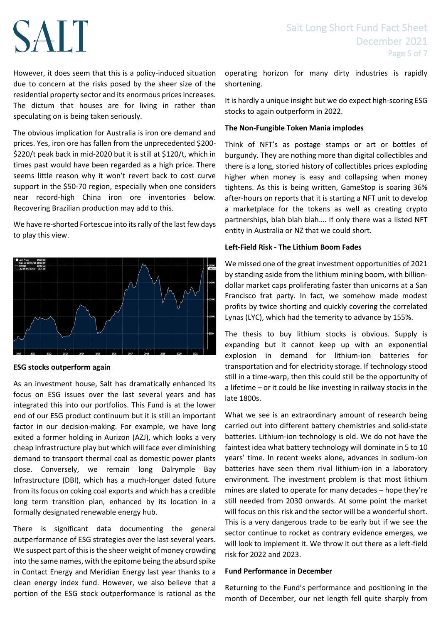However, it does seem that this is a policy-induced situation due to concern at the risks posed by the sheer size of the residential property sector and its enormous prices increases. The dictum that houses are for living in rather than speculating on is being taken seriously.

The obvious implication for Australia is iron ore demand and prices. Yes, iron ore has fallen from the unprecedented \$200- \$220/t peak back in mid-2020 but it is still at \$120/t, which in times past would have been regarded as a high price. There seems little reason why it won't revert back to cost curve support in the \$50-70 region, especially when one considers near record-high China iron ore inventories below. Recovering Brazilian production may add to this.

We have re-shorted Fortescue into its rally of the last few days to play this view.



## **ESG stocks outperform again**

As an investment house, Salt has dramatically enhanced its focus on ESG issues over the last several years and has integrated this into our portfolios. This Fund is at the lower end of our ESG product continuum but it is still an important factor in our decision-making. For example, we have long exited a former holding in Aurizon (AZJ), which looks a very cheap infrastructure play but which will face ever diminishing demand to transport thermal coal as domestic power plants close. Conversely, we remain long Dalrymple Bay Infrastructure (DBI), which has a much-longer dated future from its focus on coking coal exports and which has a credible long term transition plan, enhanced by its location in a formally designated renewable energy hub.

There is significant data documenting the general outperformance of ESG strategies over the last several years. We suspect part of this is the sheer weight of money crowding into the same names, with the epitome being the absurd spike in Contact Energy and Meridian Energy last year thanks to a clean energy index fund. However, we also believe that a portion of the ESG stock outperformance is rational as the

operating horizon for many dirty industries is rapidly shortening.

It is hardly a unique insight but we do expect high-scoring ESG stocks to again outperform in 2022.

## **The Non-Fungible Token Mania implodes**

Think of NFT's as postage stamps or art or bottles of burgundy. They are nothing more than digital collectibles and there is a long, storied history of collectibles prices exploding higher when money is easy and collapsing when money tightens. As this is being written, GameStop is soaring 36% after-hours on reports that it is starting a NFT unit to develop a marketplace for the tokens as well as creating crypto partnerships, blah blah blah…. If only there was a listed NFT entity in Australia or NZ that we could short.

## **Left-Field Risk - The Lithium Boom Fades**

We missed one of the great investment opportunities of 2021 by standing aside from the lithium mining boom, with billiondollar market caps proliferating faster than unicorns at a San Francisco frat party. In fact, we somehow made modest profits by twice shorting and quickly covering the correlated Lynas (LYC), which had the temerity to advance by 155%.

The thesis to buy lithium stocks is obvious. Supply is expanding but it cannot keep up with an exponential explosion in demand for lithium-ion batteries for transportation and for electricity storage. If technology stood still in a time-warp, then this could still be the opportunity of a lifetime – or it could be like investing in railway stocks in the late 1800s.

What we see is an extraordinary amount of research being carried out into different battery chemistries and solid-state batteries. Lithium-ion technology is old. We do not have the faintest idea what battery technology will dominate in 5 to 10 years' time. In recent weeks alone, advances in sodium-ion batteries have seen them rival lithium-ion in a laboratory environment. The investment problem is that most lithium mines are slated to operate for many decades – hope they're still needed from 2030 onwards. At some point the market will focus on this risk and the sector will be a wonderful short. This is a very dangerous trade to be early but if we see the sector continue to rocket as contrary evidence emerges, we will look to implement it. We throw it out there as a left-field risk for 2022 and 2023.

## **Fund Performance in December**

Returning to the Fund's performance and positioning in the month of December, our net length fell quite sharply from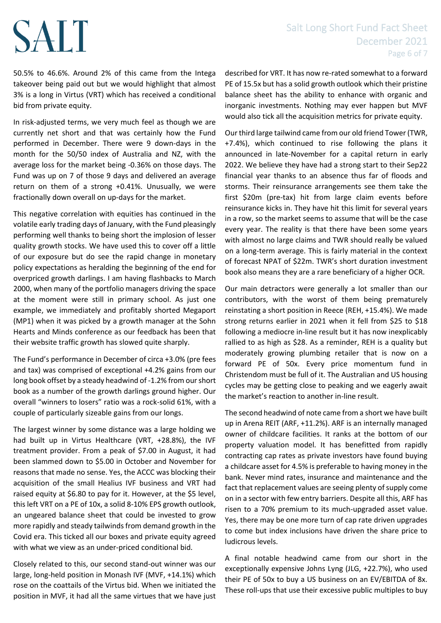50.5% to 46.6%. Around 2% of this came from the Intega takeover being paid out but we would highlight that almost 3% is a long in Virtus (VRT) which has received a conditional bid from private equity.

In risk-adjusted terms, we very much feel as though we are currently net short and that was certainly how the Fund performed in December. There were 9 down-days in the month for the 50/50 index of Australia and NZ, with the average loss for the market being -0.36% on those days. The Fund was up on 7 of those 9 days and delivered an average return on them of a strong +0.41%. Unusually, we were fractionally down overall on up-days for the market.

This negative correlation with equities has continued in the volatile early trading days of January, with the Fund pleasingly performing well thanks to being short the implosion of lesser quality growth stocks. We have used this to cover off a little of our exposure but do see the rapid change in monetary policy expectations as heralding the beginning of the end for overpriced growth darlings. I am having flashbacks to March 2000, when many of the portfolio managers driving the space at the moment were still in primary school. As just one example, we immediately and profitably shorted Megaport (MP1) when it was picked by a growth manager at the Sohn Hearts and Minds conference as our feedback has been that their website traffic growth has slowed quite sharply.

The Fund's performance in December of circa +3.0% (pre fees and tax) was comprised of exceptional +4.2% gains from our long book offset by a steady headwind of -1.2% from our short book as a number of the growth darlings ground higher. Our overall "winners to losers" ratio was a rock-solid 61%, with a couple of particularly sizeable gains from our longs.

The largest winner by some distance was a large holding we had built up in Virtus Healthcare (VRT, +28.8%), the IVF treatment provider. From a peak of \$7.00 in August, it had been slammed down to \$5.00 in October and November for reasons that made no sense. Yes, the ACCC was blocking their acquisition of the small Healius IVF business and VRT had raised equity at \$6.80 to pay for it. However, at the \$5 level, this left VRT on a PE of 10x, a solid 8-10% EPS growth outlook, an ungeared balance sheet that could be invested to grow more rapidly and steady tailwinds from demand growth in the Covid era. This ticked all our boxes and private equity agreed with what we view as an under-priced conditional bid.

Closely related to this, our second stand-out winner was our large, long-held position in Monash IVF (MVF, +14.1%) which rose on the coattails of the Virtus bid. When we initiated the position in MVF, it had all the same virtues that we have just described for VRT. It has now re-rated somewhat to a forward PE of 15.5x but has a solid growth outlook which their pristine balance sheet has the ability to enhance with organic and inorganic investments. Nothing may ever happen but MVF would also tick all the acquisition metrics for private equity.

Our third large tailwind came from our old friend Tower (TWR, +7.4%), which continued to rise following the plans it announced in late-November for a capital return in early 2022. We believe they have had a strong start to their Sep22 financial year thanks to an absence thus far of floods and storms. Their reinsurance arrangements see them take the first \$20m (pre-tax) hit from large claim events before reinsurance kicks in. They have hit this limit for several years in a row, so the market seems to assume that will be the case every year. The reality is that there have been some years with almost no large claims and TWR should really be valued on a long-term average. This is fairly material in the context of forecast NPAT of \$22m. TWR's short duration investment book also means they are a rare beneficiary of a higher OCR.

Our main detractors were generally a lot smaller than our contributors, with the worst of them being prematurely reinstating a short position in Reece (REH, +15.4%). We made strong returns earlier in 2021 when it fell from \$25 to \$18 following a mediocre in-line result but it has now inexplicably rallied to as high as \$28. As a reminder, REH is a quality but moderately growing plumbing retailer that is now on a forward PE of 50x. Every price momentum fund in Christendom must be full of it. The Australian and US housing cycles may be getting close to peaking and we eagerly await the market's reaction to another in-line result.

The second headwind of note came from a short we have built up in Arena REIT (ARF, +11.2%). ARF is an internally managed owner of childcare facilities. It ranks at the bottom of our property valuation model. It has benefitted from rapidly contracting cap rates as private investors have found buying a childcare asset for 4.5% is preferable to having money in the bank. Never mind rates, insurance and maintenance and the fact that replacement values are seeing plenty of supply come on in a sector with few entry barriers. Despite all this, ARF has risen to a 70% premium to its much-upgraded asset value. Yes, there may be one more turn of cap rate driven upgrades to come but index inclusions have driven the share price to ludicrous levels.

A final notable headwind came from our short in the exceptionally expensive Johns Lyng (JLG, +22.7%), who used their PE of 50x to buy a US business on an EV/EBITDA of 8x. These roll-ups that use their excessive public multiples to buy